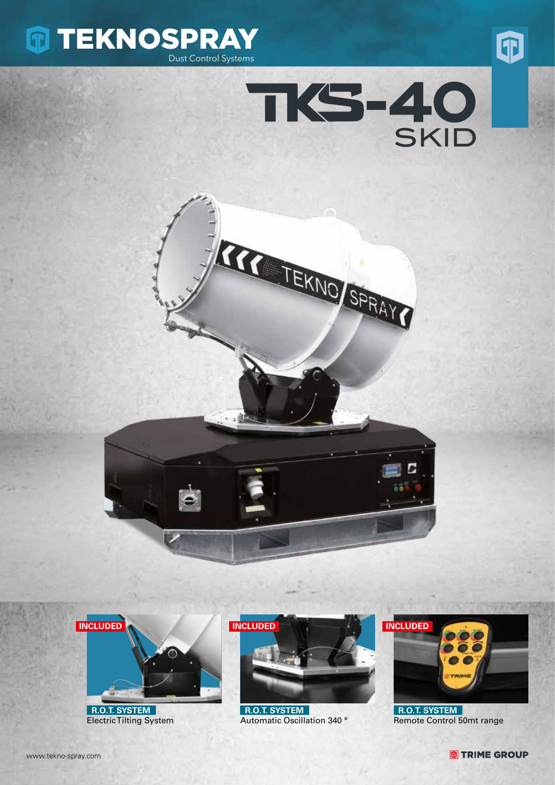









 **R.O.T. SYSTEM** Electric Tilting System



 **R.O.T. SYSTEM** Automatic Oscillation 340 °



 **R.O.T. SYSTEM** Remote Control 50mt range